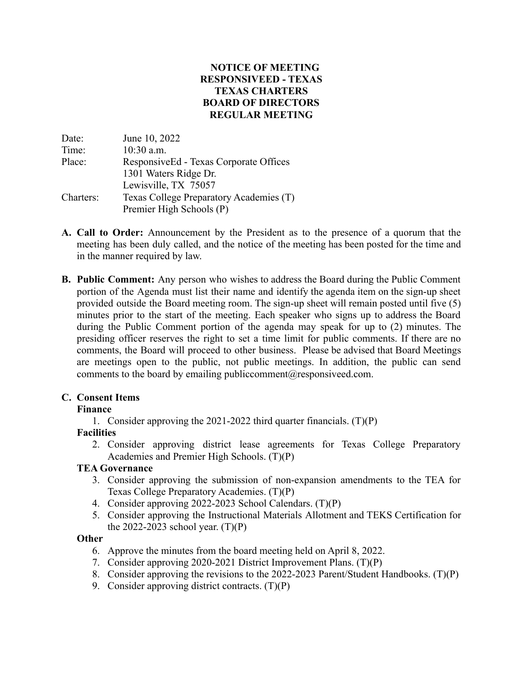## **NOTICE OF MEETING RESPONSIVEED - TEXAS TEXAS CHARTERS BOARD OF DIRECTORS REGULAR MEETING**

| Date:     | June 10, 2022                           |
|-----------|-----------------------------------------|
| Time:     | 10:30 a.m.                              |
| Place:    | ResponsiveEd - Texas Corporate Offices  |
|           | 1301 Waters Ridge Dr.                   |
|           | Lewisville, TX 75057                    |
| Charters: | Texas College Preparatory Academies (T) |
|           | Premier High Schools (P)                |

- **A. Call to Order:** Announcement by the President as to the presence of a quorum that the meeting has been duly called, and the notice of the meeting has been posted for the time and in the manner required by law.
- **B. Public Comment:** Any person who wishes to address the Board during the Public Comment portion of the Agenda must list their name and identify the agenda item on the sign-up sheet provided outside the Board meeting room. The sign-up sheet will remain posted until five (5) minutes prior to the start of the meeting. Each speaker who signs up to address the Board during the Public Comment portion of the agenda may speak for up to (2) minutes. The presiding officer reserves the right to set a time limit for public comments. If there are no comments, the Board will proceed to other business. Please be advised that Board Meetings are meetings open to the public, not public meetings. In addition, the public can send comments to the board by emailing [publiccomment@responsiveed.com.](mailto:publiccomment@responsiveed.com)

# **C. Consent Items**

# **Finance**

1. Consider approving the 2021-2022 third quarter financials. (T)(P)

# **Facilities**

2. Consider approving district lease agreements for Texas College Preparatory Academies and Premier High Schools. (T)(P)

#### **TEA Governance**

- 3. Consider approving the submission of non-expansion amendments to the TEA for Texas College Preparatory Academies. (T)(P)
- 4. Consider approving 2022-2023 School Calendars. (T)(P)
- 5. Consider approving the Instructional Materials Allotment and TEKS Certification for the 2022-2023 school year.  $(T)(P)$

#### **Other**

- 6. Approve the minutes from the board meeting held on April 8, 2022.
- 7. Consider approving 2020-2021 District Improvement Plans. (T)(P)
- 8. Consider approving the revisions to the 2022-2023 Parent/Student Handbooks. (T)(P)
- 9. Consider approving district contracts. (T)(P)